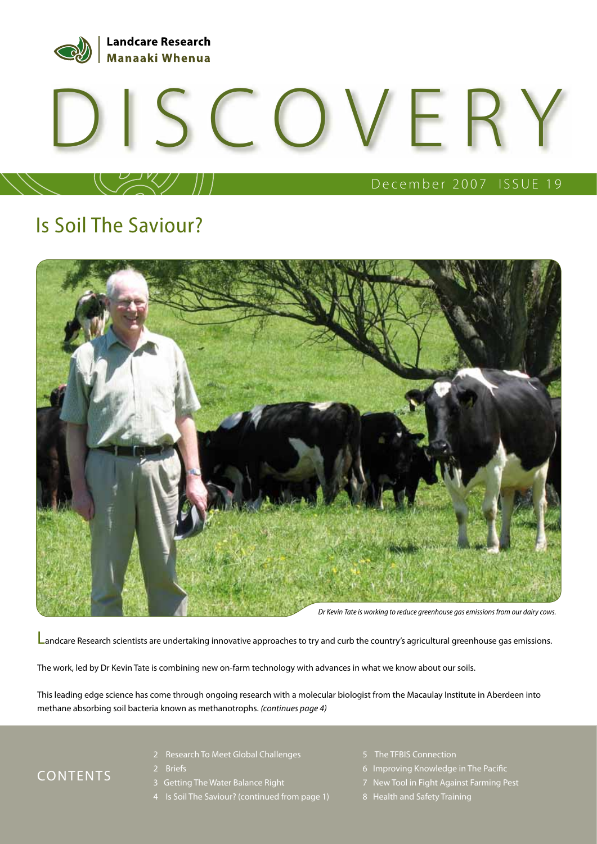

# DISCOVERY

#### December 2007 ISSUE 19

## Is Soil The Saviour?



Dr Kevin Tate is working to reduce greenhouse gas emissions from our dairy cows.

Landcare Research scientists are undertaking innovative approaches to try and curb the country's agricultural greenhouse gas emissions.

The work, led by Dr Kevin Tate is combining new on-farm technology with advances in what we know about our soils.

This leading edge science has come through ongoing research with a molecular biologist from the Macaulay Institute in Aberdeen into methane absorbing soil bacteria known as methanotrophs. (continues page 4)

#### CONTENTS

- 2 Research To Meet Global Challenges
- 2 Briefs
- 3 Getting The Water Balance Right
- 4 Is Soil The Saviour? (continued from page 1)
- 5 The TFBIS Connection
- 6 Improving Knowledge in The Pacific
- 7 New Tool in Fight Against Farming Pest
- 8 Health and Safety Training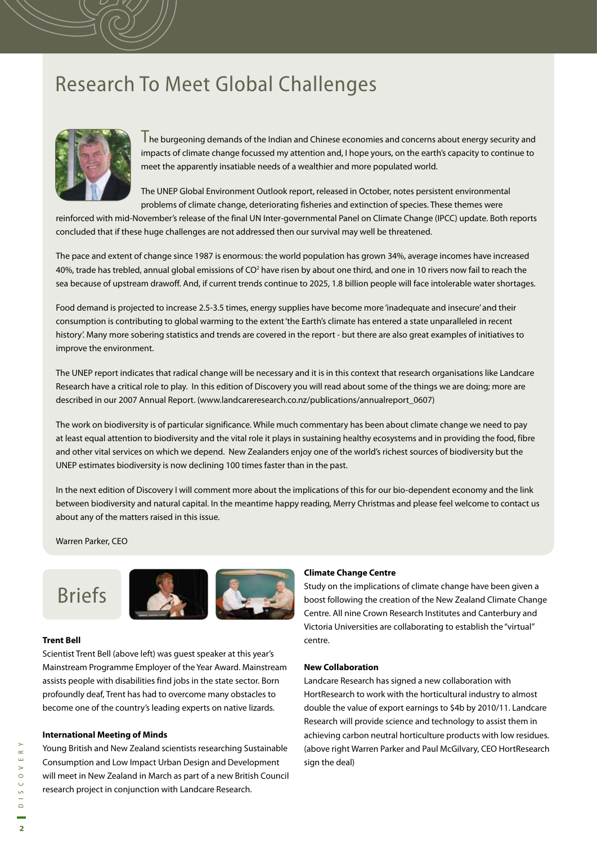## Research To Meet Global Challenges



The burgeoning demands of the Indian and Chinese economies and concerns about energy security and impacts of climate change focussed my attention and, I hope yours, on the earth's capacity to continue to meet the apparently insatiable needs of a wealthier and more populated world.

The UNEP Global Environment Outlook report, released in October, notes persistent environmental problems of climate change, deteriorating fisheries and extinction of species. These themes were

reinforced with mid-November's release of the final UN Inter-governmental Panel on Climate Change (IPCC) update. Both reports concluded that if these huge challenges are not addressed then our survival may well be threatened.

The pace and extent of change since 1987 is enormous: the world population has grown 34%, average incomes have increased 40%, trade has trebled, annual global emissions of CO<sup>2</sup> have risen by about one third, and one in 10 rivers now fail to reach the sea because of upstream drawoff. And, if current trends continue to 2025, 1.8 billion people will face intolerable water shortages.

Food demand is projected to increase 2.5-3.5 times, energy supplies have become more 'inadequate and insecure' and their consumption is contributing to global warming to the extent 'the Earth's climate has entered a state unparalleled in recent history'. Many more sobering statistics and trends are covered in the report - but there are also great examples of initiatives to improve the environment.

The UNEP report indicates that radical change will be necessary and it is in this context that research organisations like Landcare Research have a critical role to play. In this edition of Discovery you will read about some of the things we are doing; more are described in our 2007 Annual Report. (www.landcareresearch.co.nz/publications/annualreport\_0607)

The work on biodiversity is of particular significance. While much commentary has been about climate change we need to pay at least equal attention to biodiversity and the vital role it plays in sustaining healthy ecosystems and in providing the food, fibre and other vital services on which we depend. New Zealanders enjoy one of the world's richest sources of biodiversity but the UNEP estimates biodiversity is now declining 100 times faster than in the past.

In the next edition of Discovery I will comment more about the implications of this for our bio-dependent economy and the link between biodiversity and natural capital. In the meantime happy reading, Merry Christmas and please feel welcome to contact us about any of the matters raised in this issue.

Warren Parker, CEO

# Briefs



#### **Trent Bell**

Scientist Trent Bell (above left) was guest speaker at this year's Mainstream Programme Employer of the Year Award. Mainstream assists people with disabilities find jobs in the state sector. Born profoundly deaf, Trent has had to overcome many obstacles to become one of the country's leading experts on native lizards.

#### **International Meeting of Minds**

Young British and New Zealand scientists researching Sustainable Consumption and Low Impact Urban Design and Development will meet in New Zealand in March as part of a new British Council research project in conjunction with Landcare Research.

#### **Climate Change Centre**

Study on the implications of climate change have been given a boost following the creation of the New Zealand Climate Change Centre. All nine Crown Research Institutes and Canterbury and Victoria Universities are collaborating to establish the "virtual" centre.

#### **New Collaboration**

Landcare Research has signed a new collaboration with HortResearch to work with the horticultural industry to almost double the value of export earnings to \$4b by 2010/11. Landcare Research will provide science and technology to assist them in achieving carbon neutral horticulture products with low residues. (above right Warren Parker and Paul McGilvary, CEO HortResearch sign the deal)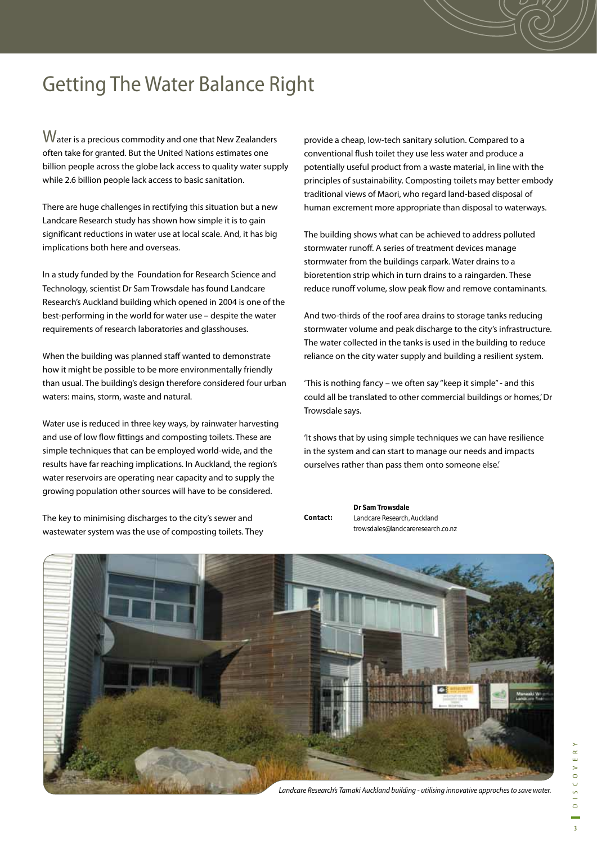# Getting The Water Balance Right

Water is a precious commodity and one that New Zealanders often take for granted. But the United Nations estimates one billion people across the globe lack access to quality water supply while 2.6 billion people lack access to basic sanitation.

There are huge challenges in rectifying this situation but a new Landcare Research study has shown how simple it is to gain significant reductions in water use at local scale. And, it has big implications both here and overseas.

In a study funded by the Foundation for Research Science and Technology, scientist Dr Sam Trowsdale has found Landcare Research's Auckland building which opened in 2004 is one of the best-performing in the world for water use – despite the water requirements of research laboratories and glasshouses.

When the building was planned staff wanted to demonstrate how it might be possible to be more environmentally friendly than usual. The building's design therefore considered four urban waters: mains, storm, waste and natural.

Water use is reduced in three key ways, by rainwater harvesting and use of low flow fittings and composting toilets. These are simple techniques that can be employed world-wide, and the results have far reaching implications. In Auckland, the region's water reservoirs are operating near capacity and to supply the growing population other sources will have to be considered.

The key to minimising discharges to the city's sewer and wastewater system was the use of composting toilets. They

provide a cheap, low-tech sanitary solution. Compared to a conventional flush toilet they use less water and produce a potentially useful product from a waste material, in line with the principles of sustainability. Composting toilets may better embody traditional views of Maori, who regard land-based disposal of human excrement more appropriate than disposal to waterways.

The building shows what can be achieved to address polluted stormwater runoff. A series of treatment devices manage stormwater from the buildings carpark. Water drains to a bioretention strip which in turn drains to a raingarden. These reduce runoff volume, slow peak flow and remove contaminants.

And two-thirds of the roof area drains to storage tanks reducing stormwater volume and peak discharge to the city's infrastructure. The water collected in the tanks is used in the building to reduce reliance on the city water supply and building a resilient system.

'This is nothing fancy – we often say "keep it simple" - and this could all be translated to other commercial buildings or homes,' Dr Trowsdale says.

'It shows that by using simple techniques we can have resilience in the system and can start to manage our needs and impacts ourselves rather than pass them onto someone else.'

**Dr Sam Trowsdale** Landcare Research, Auckland trowsdales@landcareresearch.co.nz **Contact:** 



Landcare Research's Tamaki Auckland building - utilising innovative approches to save water.

 $\overline{\mathbf{3}}$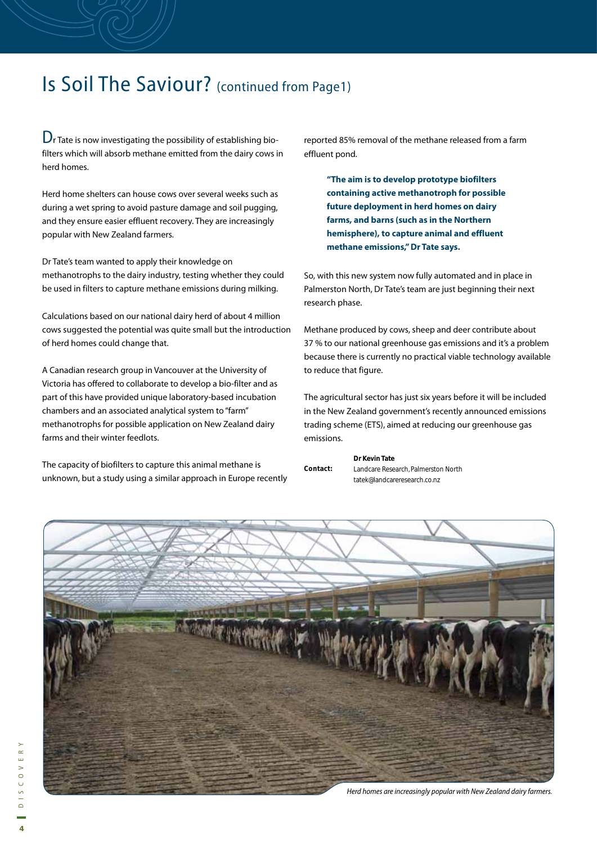## Is Soil The Saviour? (continued from Page1)

 $D<sub>r</sub>$  Tate is now investigating the possibility of establishing biofilters which will absorb methane emitted from the dairy cows in herd homes.

Herd home shelters can house cows over several weeks such as during a wet spring to avoid pasture damage and soil pugging, and they ensure easier effluent recovery. They are increasingly popular with New Zealand farmers.

Dr Tate's team wanted to apply their knowledge on methanotrophs to the dairy industry, testing whether they could be used in filters to capture methane emissions during milking.

Calculations based on our national dairy herd of about 4 million cows suggested the potential was quite small but the introduction of herd homes could change that.

A Canadian research group in Vancouver at the University of Victoria has offered to collaborate to develop a bio-filter and as part of this have provided unique laboratory-based incubation chambers and an associated analytical system to "farm" methanotrophs for possible application on New Zealand dairy farms and their winter feedlots.

The capacity of biofilters to capture this animal methane is unknown, but a study using a similar approach in Europe recently

reported 85% removal of the methane released from a farm effluent pond.

**"The aim is to develop prototype biofilters containing active methanotroph for possible future deployment in herd homes on dairy farms, and barns (such as in the Northern hemisphere), to capture animal and effluent methane emissions," Dr Tate says.**

So, with this new system now fully automated and in place in Palmerston North, Dr Tate's team are just beginning their next research phase.

Methane produced by cows, sheep and deer contribute about 37 % to our national greenhouse gas emissions and it's a problem because there is currently no practical viable technology available to reduce that figure.

The agricultural sector has just six years before it will be included in the New Zealand government's recently announced emissions trading scheme (ETS), aimed at reducing our greenhouse gas emissions.

**Dr Kevin Tate** Landcare Research, Palmerston North tatek@landcareresearch.co.nz **Contact:** 

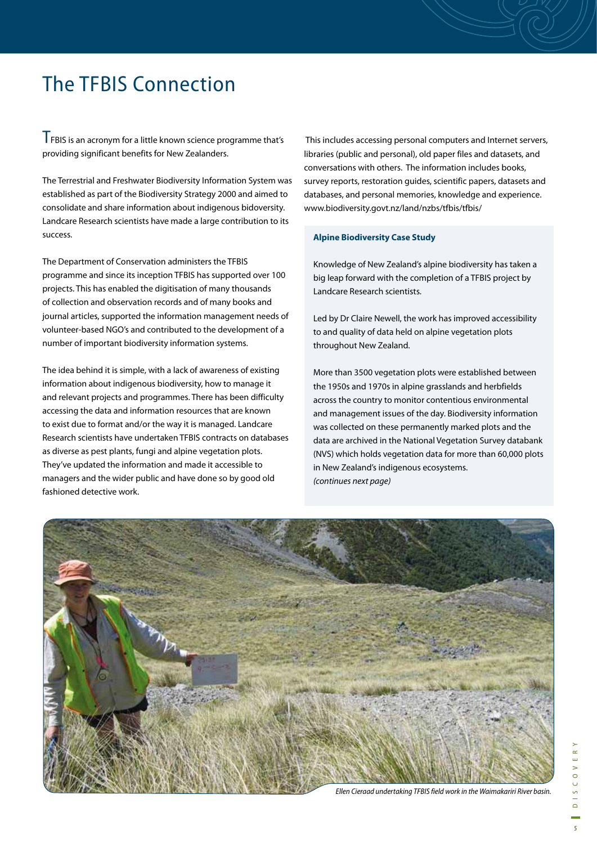## The TFBIS Connection

TFBIS is an acronym for a little known science programme that's providing significant benefits for New Zealanders.

The Terrestrial and Freshwater Biodiversity Information System was established as part of the Biodiversity Strategy 2000 and aimed to consolidate and share information about indigenous bidoversity. Landcare Research scientists have made a large contribution to its success.

The Department of Conservation administers the TFBIS programme and since its inception TFBIS has supported over 100 projects. This has enabled the digitisation of many thousands of collection and observation records and of many books and journal articles, supported the information management needs of volunteer-based NGO's and contributed to the development of a number of important biodiversity information systems.

The idea behind it is simple, with a lack of awareness of existing information about indigenous biodiversity, how to manage it and relevant projects and programmes. There has been difficulty accessing the data and information resources that are known to exist due to format and/or the way it is managed. Landcare Research scientists have undertaken TFBIS contracts on databases as diverse as pest plants, fungi and alpine vegetation plots. They've updated the information and made it accessible to managers and the wider public and have done so by good old fashioned detective work.

 This includes accessing personal computers and Internet servers, libraries (public and personal), old paper files and datasets, and conversations with others. The information includes books, survey reports, restoration guides, scientific papers, datasets and databases, and personal memories, knowledge and experience. www.biodiversity.govt.nz/land/nzbs/tfbis/tfbis/

#### **Alpine Biodiversity Case Study**

Knowledge of New Zealand's alpine biodiversity has taken a big leap forward with the completion of a TFBIS project by Landcare Research scientists.

Led by Dr Claire Newell, the work has improved accessibility to and quality of data held on alpine vegetation plots throughout New Zealand.

More than 3500 vegetation plots were established between the 1950s and 1970s in alpine grasslands and herbfields across the country to monitor contentious environmental and management issues of the day. Biodiversity information was collected on these permanently marked plots and the data are archived in the National Vegetation Survey databank (NVS) which holds vegetation data for more than 60,000 plots in New Zealand's indigenous ecosystems. (continues next page)

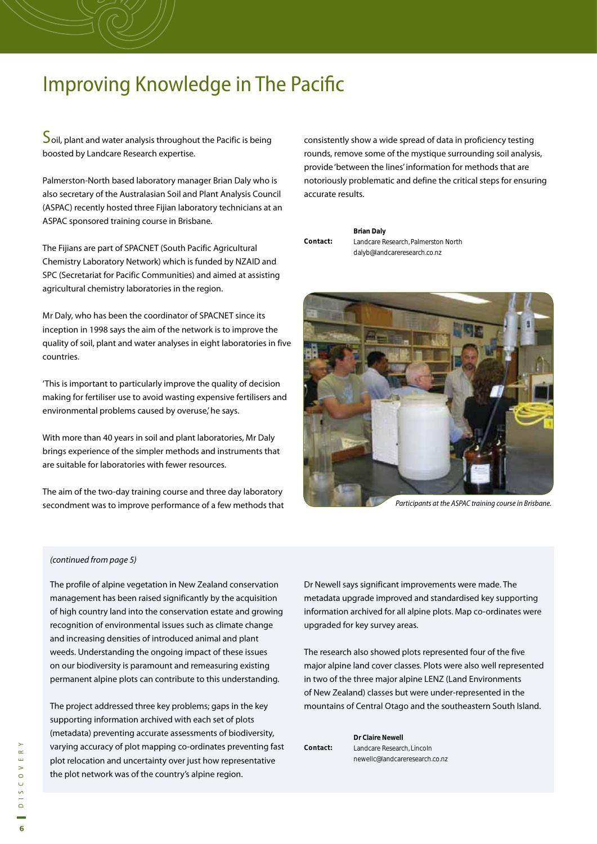## **Improving Knowledge in The Pacific**

 $\mathsf{\Sigma}$ oil, plant and water analysis throughout the Pacific is being boosted by Landcare Research expertise.

Palmerston-North based laboratory manager Brian Daly who is also secretary of the Australasian Soil and Plant Analysis Council (ASPAC) recently hosted three Fijian laboratory technicians at an ASPAC sponsored training course in Brisbane.

The Fijians are part of SPACNET (South Pacific Agricultural Chemistry Laboratory Network) which is funded by NZAID and SPC (Secretariat for Pacific Communities) and aimed at assisting agricultural chemistry laboratories in the region.

Mr Daly, who has been the coordinator of SPACNET since its inception in 1998 says the aim of the network is to improve the quality of soil, plant and water analyses in eight laboratories in five countries.

'This is important to particularly improve the quality of decision making for fertiliser use to avoid wasting expensive fertilisers and environmental problems caused by overuse,' he says.

With more than 40 years in soil and plant laboratories, Mr Daly brings experience of the simpler methods and instruments that are suitable for laboratories with fewer resources.

The aim of the two-day training course and three day laboratory secondment was to improve performance of a few methods that consistently show a wide spread of data in proficiency testing rounds, remove some of the mystique surrounding soil analysis, provide 'between the lines' information for methods that are notoriously problematic and define the critical steps for ensuring accurate results.

**Brian Daly** Landcare Research, Palmerston North dalyb@landcareresearch.co.nz **Contact:** 

Participants at the ASPAC training course in Brisbane.

#### (continued from page 5)

The profile of alpine vegetation in New Zealand conservation management has been raised significantly by the acquisition of high country land into the conservation estate and growing recognition of environmental issues such as climate change and increasing densities of introduced animal and plant weeds. Understanding the ongoing impact of these issues on our biodiversity is paramount and remeasuring existing permanent alpine plots can contribute to this understanding.

The project addressed three key problems; gaps in the key supporting information archived with each set of plots (metadata) preventing accurate assessments of biodiversity, varying accuracy of plot mapping co-ordinates preventing fast plot relocation and uncertainty over just how representative the plot network was of the country's alpine region.

Dr Newell says significant improvements were made. The metadata upgrade improved and standardised key supporting information archived for all alpine plots. Map co-ordinates were upgraded for key survey areas.

The research also showed plots represented four of the five major alpine land cover classes. Plots were also well represented in two of the three major alpine LENZ (Land Environments of New Zealand) classes but were under-represented in the mountains of Central Otago and the southeastern South Island.

**Dr Claire Newell Newell** Landcare Research, Lincoln newellc@landcareresearch.co.nz **Contact: Contact:**

**6**DISCOVERY  $C$  O V E R  $\frac{5}{1}$  $\Omega$  $\overline{6}$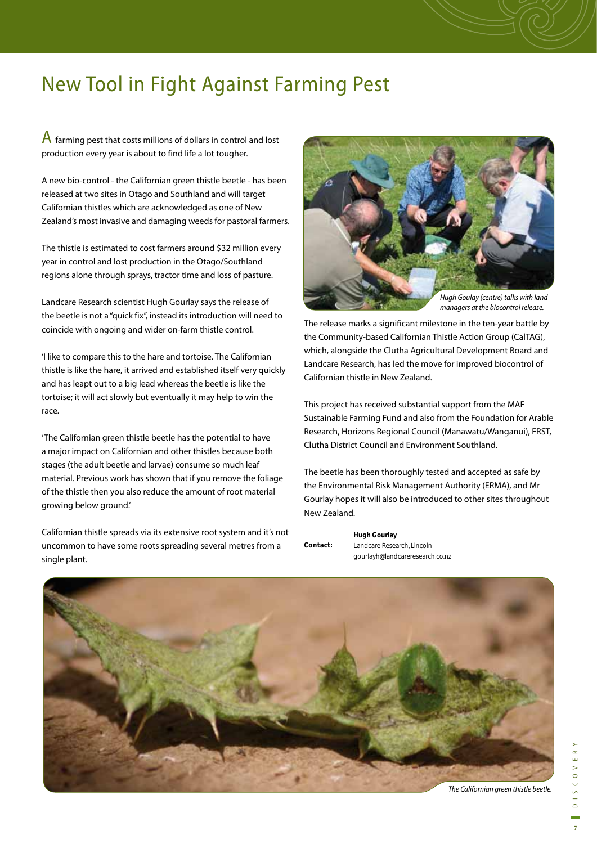## New Tool in Fight Against Farming Pest

A farming pest that costs millions of dollars in control and lost production every year is about to find life a lot tougher.

A new bio-control - the Californian green thistle beetle - has been released at two sites in Otago and Southland and will target Californian thistles which are acknowledged as one of New Zealand's most invasive and damaging weeds for pastoral farmers.

The thistle is estimated to cost farmers around \$32 million every year in control and lost production in the Otago/Southland regions alone through sprays, tractor time and loss of pasture.

Landcare Research scientist Hugh Gourlay says the release of the beetle is not a "quick fix", instead its introduction will need to coincide with ongoing and wider on-farm thistle control.

'I like to compare this to the hare and tortoise. The Californian thistle is like the hare, it arrived and established itself very quickly and has leapt out to a big lead whereas the beetle is like the tortoise; it will act slowly but eventually it may help to win the race.

'The Californian green thistle beetle has the potential to have a major impact on Californian and other thistles because both stages (the adult beetle and larvae) consume so much leaf material. Previous work has shown that if you remove the foliage of the thistle then you also reduce the amount of root material growing below ground.'

Californian thistle spreads via its extensive root system and it's not uncommon to have some roots spreading several metres from a single plant.



managers at the biocontrol release.

The release marks a significant milestone in the ten-year battle by the Community-based Californian Thistle Action Group (CalTAG), which, alongside the Clutha Agricultural Development Board and Landcare Research, has led the move for improved biocontrol of Californian thistle in New Zealand.

This project has received substantial support from the MAF Sustainable Farming Fund and also from the Foundation for Arable Research, Horizons Regional Council (Manawatu/Wanganui), FRST, Clutha District Council and Environment Southland.

The beetle has been thoroughly tested and accepted as safe by the Environmental Risk Management Authority (ERMA), and Mr Gourlay hopes it will also be introduced to other sites throughout New Zealand.

**Hugh Gourlay Contact:** 

Landcare Research, Lincoln gourlayh@landcareresearch.co.nz



The Californian green thistle beetle.